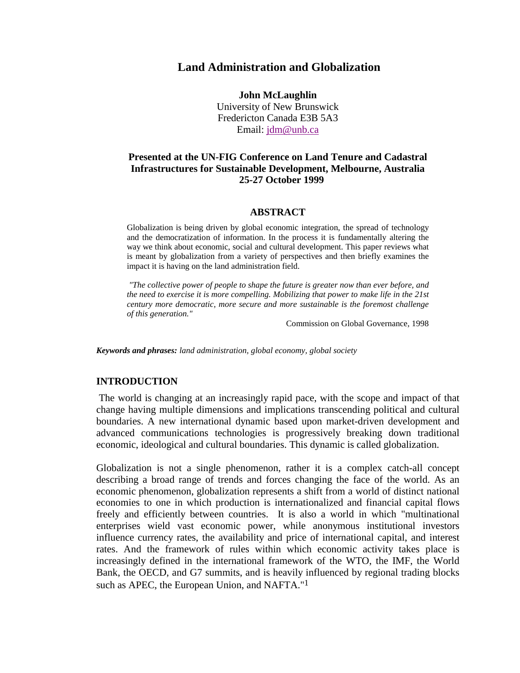# **Land Administration and Globalization**

**John McLaughlin** University of New Brunswick Fredericton Canada E3B 5A3 Email: jdm@unb.ca

# **Presented at the UN-FIG Conference on Land Tenure and Cadastral Infrastructures for Sustainable Development, Melbourne, Australia 25-27 October 1999**

#### **ABSTRACT**

Globalization is being driven by global economic integration, the spread of technology and the democratization of information. In the process it is fundamentally altering the way we think about economic, social and cultural development. This paper reviews what is meant by globalization from a variety of perspectives and then briefly examines the impact it is having on the land administration field.

*"The collective power of people to shape the future is greater now than ever before, and the need to exercise it is more compelling. Mobilizing that power to make life in the 21st century more democratic, more secure and more sustainable is the foremost challenge of this generation."*

Commission on Global Governance, 1998

*Keywords and phrases: land administration, global economy, global society*

#### **INTRODUCTION**

 The world is changing at an increasingly rapid pace, with the scope and impact of that change having multiple dimensions and implications transcending political and cultural boundaries. A new international dynamic based upon market-driven development and advanced communications technologies is progressively breaking down traditional economic, ideological and cultural boundaries. This dynamic is called globalization.

Globalization is not a single phenomenon, rather it is a complex catch-all concept describing a broad range of trends and forces changing the face of the world. As an economic phenomenon, globalization represents a shift from a world of distinct national economies to one in which production is internationalized and financial capital flows freely and efficiently between countries. It is also a world in which "multinational enterprises wield vast economic power, while anonymous institutional investors influence currency rates, the availability and price of international capital, and interest rates. And the framework of rules within which economic activity takes place is increasingly defined in the international framework of the WTO, the IMF, the World Bank, the OECD, and G7 summits, and is heavily influenced by regional trading blocks such as APEC, the European Union, and NAFTA."1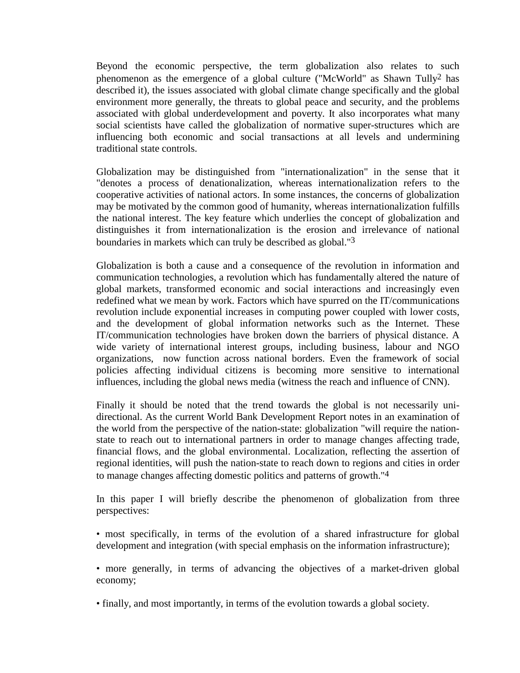Beyond the economic perspective, the term globalization also relates to such phenomenon as the emergence of a global culture ("McWorld" as Shawn Tully2 has described it), the issues associated with global climate change specifically and the global environment more generally, the threats to global peace and security, and the problems associated with global underdevelopment and poverty. It also incorporates what many social scientists have called the globalization of normative super-structures which are influencing both economic and social transactions at all levels and undermining traditional state controls.

Globalization may be distinguished from "internationalization" in the sense that it "denotes a process of denationalization, whereas internationalization refers to the cooperative activities of national actors. In some instances, the concerns of globalization may be motivated by the common good of humanity, whereas internationalization fulfills the national interest. The key feature which underlies the concept of globalization and distinguishes it from internationalization is the erosion and irrelevance of national boundaries in markets which can truly be described as global."3

Globalization is both a cause and a consequence of the revolution in information and communication technologies, a revolution which has fundamentally altered the nature of global markets, transformed economic and social interactions and increasingly even redefined what we mean by work. Factors which have spurred on the IT/communications revolution include exponential increases in computing power coupled with lower costs, and the development of global information networks such as the Internet. These IT/communication technologies have broken down the barriers of physical distance. A wide variety of international interest groups, including business, labour and NGO organizations, now function across national borders. Even the framework of social policies affecting individual citizens is becoming more sensitive to international influences, including the global news media (witness the reach and influence of CNN).

Finally it should be noted that the trend towards the global is not necessarily unidirectional. As the current World Bank Development Report notes in an examination of the world from the perspective of the nation-state: globalization "will require the nationstate to reach out to international partners in order to manage changes affecting trade, financial flows, and the global environmental. Localization, reflecting the assertion of regional identities, will push the nation-state to reach down to regions and cities in order to manage changes affecting domestic politics and patterns of growth."4

In this paper I will briefly describe the phenomenon of globalization from three perspectives:

• most specifically, in terms of the evolution of a shared infrastructure for global development and integration (with special emphasis on the information infrastructure);

• more generally, in terms of advancing the objectives of a market-driven global economy;

• finally, and most importantly, in terms of the evolution towards a global society.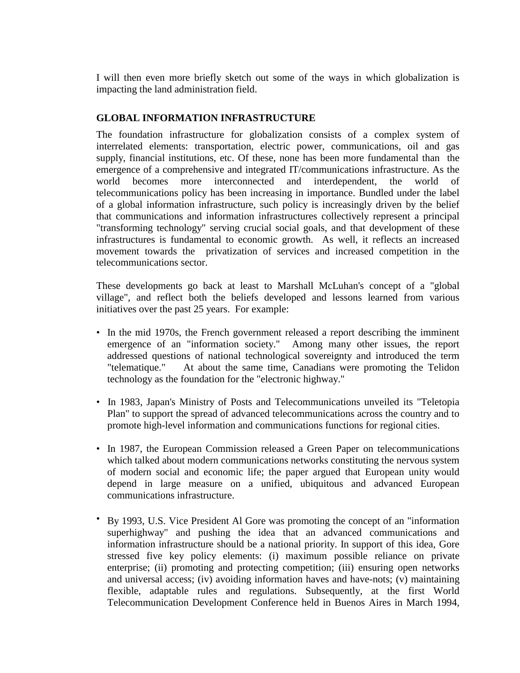I will then even more briefly sketch out some of the ways in which globalization is impacting the land administration field.

# **GLOBAL INFORMATION INFRASTRUCTURE**

The foundation infrastructure for globalization consists of a complex system of interrelated elements: transportation, electric power, communications, oil and gas supply, financial institutions, etc. Of these, none has been more fundamental than the emergence of a comprehensive and integrated IT/communications infrastructure. As the world becomes more interconnected and interdependent, the world of telecommunications policy has been increasing in importance. Bundled under the label of a global information infrastructure, such policy is increasingly driven by the belief that communications and information infrastructures collectively represent a principal "transforming technology" serving crucial social goals, and that development of these infrastructures is fundamental to economic growth. As well, it reflects an increased movement towards the privatization of services and increased competition in the telecommunications sector.

These developments go back at least to Marshall McLuhan's concept of a "global village", and reflect both the beliefs developed and lessons learned from various initiatives over the past 25 years. For example:

- In the mid 1970s, the French government released a report describing the imminent emergence of an "information society." Among many other issues, the report addressed questions of national technological sovereignty and introduced the term "telematique." At about the same time, Canadians were promoting the Telidon technology as the foundation for the "electronic highway."
- In 1983, Japan's Ministry of Posts and Telecommunications unveiled its "Teletopia Plan" to support the spread of advanced telecommunications across the country and to promote high-level information and communications functions for regional cities.
- In 1987, the European Commission released a Green Paper on telecommunications which talked about modern communications networks constituting the nervous system of modern social and economic life; the paper argued that European unity would depend in large measure on a unified, ubiquitous and advanced European communications infrastructure.
- By 1993, U.S. Vice President Al Gore was promoting the concept of an "information superhighway" and pushing the idea that an advanced communications and information infrastructure should be a national priority. In support of this idea, Gore stressed five key policy elements: (i) maximum possible reliance on private enterprise; (ii) promoting and protecting competition; (iii) ensuring open networks and universal access; (iv) avoiding information haves and have-nots; (v) maintaining flexible, adaptable rules and regulations. Subsequently, at the first World Telecommunication Development Conference held in Buenos Aires in March 1994,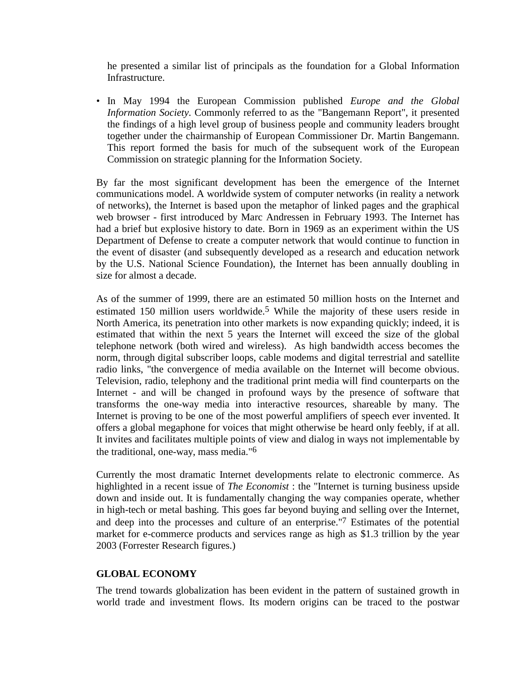he presented a similar list of principals as the foundation for a Global Information Infrastructure.

• In May 1994 the European Commission published *Europe and the Global Information Society*. Commonly referred to as the "Bangemann Report", it presented the findings of a high level group of business people and community leaders brought together under the chairmanship of European Commissioner Dr. Martin Bangemann. This report formed the basis for much of the subsequent work of the European Commission on strategic planning for the Information Society.

By far the most significant development has been the emergence of the Internet communications model. A worldwide system of computer networks (in reality a network of networks), the Internet is based upon the metaphor of linked pages and the graphical web browser - first introduced by Marc Andressen in February 1993. The Internet has had a brief but explosive history to date. Born in 1969 as an experiment within the US Department of Defense to create a computer network that would continue to function in the event of disaster (and subsequently developed as a research and education network by the U.S. National Science Foundation), the Internet has been annually doubling in size for almost a decade.

As of the summer of 1999, there are an estimated 50 million hosts on the Internet and estimated 150 million users worldwide.<sup>5</sup> While the majority of these users reside in North America, its penetration into other markets is now expanding quickly; indeed, it is estimated that within the next 5 years the Internet will exceed the size of the global telephone network (both wired and wireless). As high bandwidth access becomes the norm, through digital subscriber loops, cable modems and digital terrestrial and satellite radio links, "the convergence of media available on the Internet will become obvious. Television, radio, telephony and the traditional print media will find counterparts on the Internet - and will be changed in profound ways by the presence of software that transforms the one-way media into interactive resources, shareable by many. The Internet is proving to be one of the most powerful amplifiers of speech ever invented. It offers a global megaphone for voices that might otherwise be heard only feebly, if at all. It invites and facilitates multiple points of view and dialog in ways not implementable by the traditional, one-way, mass media."6

Currently the most dramatic Internet developments relate to electronic commerce. As highlighted in a recent issue of *The Economist* : the "Internet is turning business upside down and inside out. It is fundamentally changing the way companies operate, whether in high-tech or metal bashing. This goes far beyond buying and selling over the Internet, and deep into the processes and culture of an enterprise."7 Estimates of the potential market for e-commerce products and services range as high as \$1.3 trillion by the year 2003 (Forrester Research figures.)

## **GLOBAL ECONOMY**

The trend towards globalization has been evident in the pattern of sustained growth in world trade and investment flows. Its modern origins can be traced to the postwar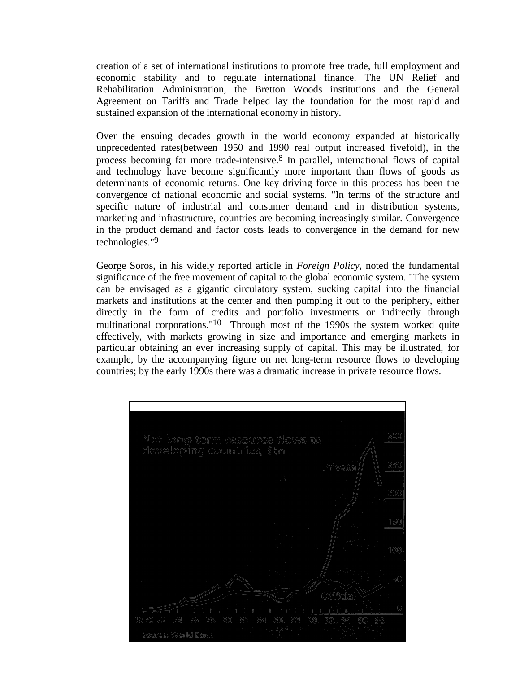creation of a set of international institutions to promote free trade, full employment and economic stability and to regulate international finance. The UN Relief and Rehabilitation Administration, the Bretton Woods institutions and the General Agreement on Tariffs and Trade helped lay the foundation for the most rapid and sustained expansion of the international economy in history.

Over the ensuing decades growth in the world economy expanded at historically unprecedented rates(between 1950 and 1990 real output increased fivefold), in the process becoming far more trade-intensive.8 In parallel, international flows of capital and technology have become significantly more important than flows of goods as determinants of economic returns. One key driving force in this process has been the convergence of national economic and social systems. "In terms of the structure and specific nature of industrial and consumer demand and in distribution systems, marketing and infrastructure, countries are becoming increasingly similar. Convergence in the product demand and factor costs leads to convergence in the demand for new technologies."9

George Soros, in his widely reported article in *Foreign Policy*, noted the fundamental significance of the free movement of capital to the global economic system. "The system can be envisaged as a gigantic circulatory system, sucking capital into the financial markets and institutions at the center and then pumping it out to the periphery, either directly in the form of credits and portfolio investments or indirectly through multinational corporations."10 Through most of the 1990s the system worked quite effectively, with markets growing in size and importance and emerging markets in particular obtaining an ever increasing supply of capital. This may be illustrated, for example, by the accompanying figure on net long-term resource flows to developing countries; by the early 1990s there was a dramatic increase in private resource flows.

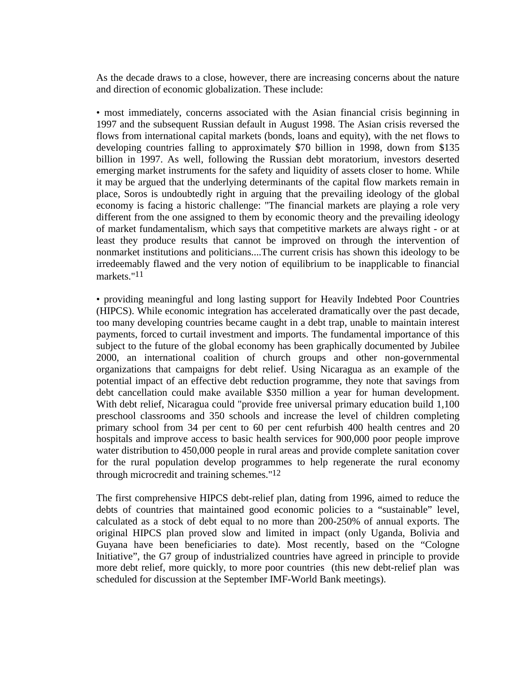As the decade draws to a close, however, there are increasing concerns about the nature and direction of economic globalization. These include:

• most immediately, concerns associated with the Asian financial crisis beginning in 1997 and the subsequent Russian default in August 1998. The Asian crisis reversed the flows from international capital markets (bonds, loans and equity), with the net flows to developing countries falling to approximately \$70 billion in 1998, down from \$135 billion in 1997. As well, following the Russian debt moratorium, investors deserted emerging market instruments for the safety and liquidity of assets closer to home. While it may be argued that the underlying determinants of the capital flow markets remain in place, Soros is undoubtedly right in arguing that the prevailing ideology of the global economy is facing a historic challenge: "The financial markets are playing a role very different from the one assigned to them by economic theory and the prevailing ideology of market fundamentalism, which says that competitive markets are always right - or at least they produce results that cannot be improved on through the intervention of nonmarket institutions and politicians....The current crisis has shown this ideology to be irredeemably flawed and the very notion of equilibrium to be inapplicable to financial markets."11

• providing meaningful and long lasting support for Heavily Indebted Poor Countries (HIPCS). While economic integration has accelerated dramatically over the past decade, too many developing countries became caught in a debt trap, unable to maintain interest payments, forced to curtail investment and imports. The fundamental importance of this subject to the future of the global economy has been graphically documented by Jubilee 2000, an international coalition of church groups and other non-governmental organizations that campaigns for debt relief. Using Nicaragua as an example of the potential impact of an effective debt reduction programme, they note that savings from debt cancellation could make available \$350 million a year for human development. With debt relief, Nicaragua could "provide free universal primary education build 1,100 preschool classrooms and 350 schools and increase the level of children completing primary school from 34 per cent to 60 per cent refurbish 400 health centres and 20 hospitals and improve access to basic health services for 900,000 poor people improve water distribution to 450,000 people in rural areas and provide complete sanitation cover for the rural population develop programmes to help regenerate the rural economy through microcredit and training schemes."12

The first comprehensive HIPCS debt-relief plan, dating from 1996, aimed to reduce the debts of countries that maintained good economic policies to a "sustainable" level, calculated as a stock of debt equal to no more than 200-250% of annual exports. The original HIPCS plan proved slow and limited in impact (only Uganda, Bolivia and Guyana have been beneficiaries to date). Most recently, based on the "Cologne Initiative", the G7 group of industrialized countries have agreed in principle to provide more debt relief, more quickly, to more poor countries (this new debt-relief plan was scheduled for discussion at the September IMF-World Bank meetings).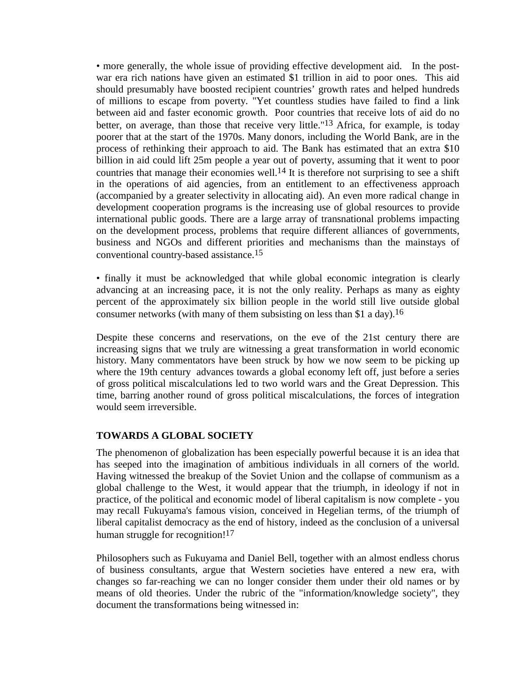• more generally, the whole issue of providing effective development aid. In the postwar era rich nations have given an estimated \$1 trillion in aid to poor ones. This aid should presumably have boosted recipient countries' growth rates and helped hundreds of millions to escape from poverty. "Yet countless studies have failed to find a link between aid and faster economic growth. Poor countries that receive lots of aid do no better, on average, than those that receive very little."13 Africa, for example, is today poorer that at the start of the 1970s. Many donors, including the World Bank, are in the process of rethinking their approach to aid. The Bank has estimated that an extra \$10 billion in aid could lift 25m people a year out of poverty, assuming that it went to poor countries that manage their economies well.<sup>14</sup> It is therefore not surprising to see a shift in the operations of aid agencies, from an entitlement to an effectiveness approach (accompanied by a greater selectivity in allocating aid). An even more radical change in development cooperation programs is the increasing use of global resources to provide international public goods. There are a large array of transnational problems impacting on the development process, problems that require different alliances of governments, business and NGOs and different priorities and mechanisms than the mainstays of conventional country-based assistance.15

• finally it must be acknowledged that while global economic integration is clearly advancing at an increasing pace, it is not the only reality. Perhaps as many as eighty percent of the approximately six billion people in the world still live outside global consumer networks (with many of them subsisting on less than \$1 a day).<sup>16</sup>

Despite these concerns and reservations, on the eve of the 21st century there are increasing signs that we truly are witnessing a great transformation in world economic history. Many commentators have been struck by how we now seem to be picking up where the 19th century advances towards a global economy left off, just before a series of gross political miscalculations led to two world wars and the Great Depression. This time, barring another round of gross political miscalculations, the forces of integration would seem irreversible.

## **TOWARDS A GLOBAL SOCIETY**

The phenomenon of globalization has been especially powerful because it is an idea that has seeped into the imagination of ambitious individuals in all corners of the world. Having witnessed the breakup of the Soviet Union and the collapse of communism as a global challenge to the West, it would appear that the triumph, in ideology if not in practice, of the political and economic model of liberal capitalism is now complete - you may recall Fukuyama's famous vision, conceived in Hegelian terms, of the triumph of liberal capitalist democracy as the end of history, indeed as the conclusion of a universal human struggle for recognition!<sup>17</sup>

Philosophers such as Fukuyama and Daniel Bell, together with an almost endless chorus of business consultants, argue that Western societies have entered a new era, with changes so far-reaching we can no longer consider them under their old names or by means of old theories. Under the rubric of the "information/knowledge society", they document the transformations being witnessed in: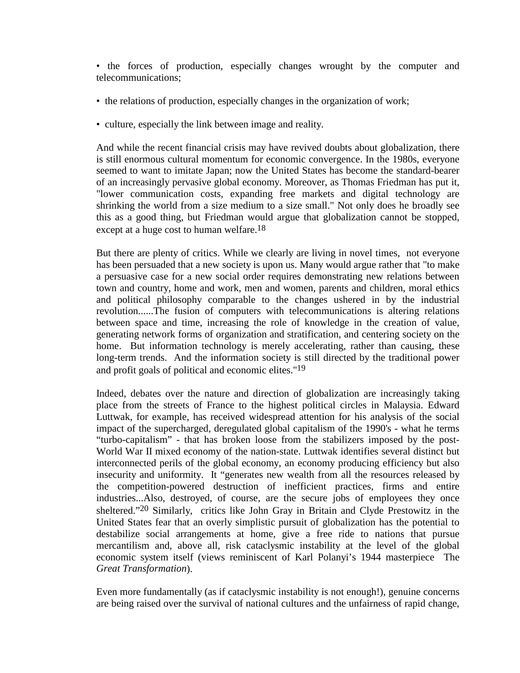• the forces of production, especially changes wrought by the computer and telecommunications;

- the relations of production, especially changes in the organization of work;
- culture, especially the link between image and reality.

And while the recent financial crisis may have revived doubts about globalization, there is still enormous cultural momentum for economic convergence. In the 1980s, everyone seemed to want to imitate Japan; now the United States has become the standard-bearer of an increasingly pervasive global economy. Moreover, as Thomas Friedman has put it, "lower communication costs, expanding free markets and digital technology are shrinking the world from a size medium to a size small." Not only does he broadly see this as a good thing, but Friedman would argue that globalization cannot be stopped, except at a huge cost to human welfare.<sup>18</sup>

But there are plenty of critics. While we clearly are living in novel times, not everyone has been persuaded that a new society is upon us. Many would argue rather that "to make a persuasive case for a new social order requires demonstrating new relations between town and country, home and work, men and women, parents and children, moral ethics and political philosophy comparable to the changes ushered in by the industrial revolution......The fusion of computers with telecommunications is altering relations between space and time, increasing the role of knowledge in the creation of value, generating network forms of organization and stratification, and centering society on the home. But information technology is merely accelerating, rather than causing, these long-term trends. And the information society is still directed by the traditional power and profit goals of political and economic elites."19

Indeed, debates over the nature and direction of globalization are increasingly taking place from the streets of France to the highest political circles in Malaysia. Edward Luttwak, for example, has received widespread attention for his analysis of the social impact of the supercharged, deregulated global capitalism of the 1990's - what he terms "turbo-capitalism" - that has broken loose from the stabilizers imposed by the post-World War II mixed economy of the nation-state. Luttwak identifies several distinct but interconnected perils of the global economy, an economy producing efficiency but also insecurity and uniformity. It "generates new wealth from all the resources released by the competition-powered destruction of inefficient practices, firms and entire industries...Also, destroyed, of course, are the secure jobs of employees they once sheltered."20 Similarly, critics like John Gray in Britain and Clyde Prestowitz in the United States fear that an overly simplistic pursuit of globalization has the potential to destabilize social arrangements at home, give a free ride to nations that pursue mercantilism and, above all, risk cataclysmic instability at the level of the global economic system itself (views reminiscent of Karl Polanyi's 1944 masterpiece The *Great Transformation*).

Even more fundamentally (as if cataclysmic instability is not enough!), genuine concerns are being raised over the survival of national cultures and the unfairness of rapid change,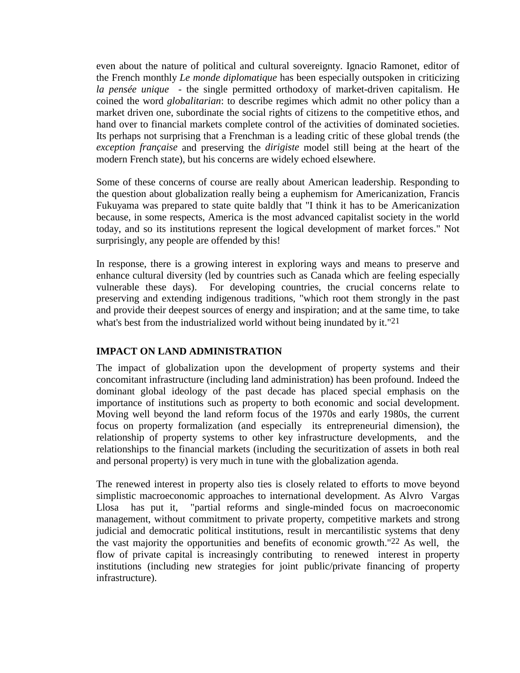even about the nature of political and cultural sovereignty. Ignacio Ramonet, editor of the French monthly *Le monde diplomatique* has been especially outspoken in criticizing *la pensée unique* - the single permitted orthodoxy of market-driven capitalism. He coined the word *globalitarian*: to describe regimes which admit no other policy than a market driven one, subordinate the social rights of citizens to the competitive ethos, and hand over to financial markets complete control of the activities of dominated societies. Its perhaps not surprising that a Frenchman is a leading critic of these global trends (the *exception française* and preserving the *dirigiste* model still being at the heart of the modern French state), but his concerns are widely echoed elsewhere.

Some of these concerns of course are really about American leadership. Responding to the question about globalization really being a euphemism for Americanization, Francis Fukuyama was prepared to state quite baldly that "I think it has to be Americanization because, in some respects, America is the most advanced capitalist society in the world today, and so its institutions represent the logical development of market forces." Not surprisingly, any people are offended by this!

In response, there is a growing interest in exploring ways and means to preserve and enhance cultural diversity (led by countries such as Canada which are feeling especially vulnerable these days). For developing countries, the crucial concerns relate to preserving and extending indigenous traditions, "which root them strongly in the past and provide their deepest sources of energy and inspiration; and at the same time, to take what's best from the industrialized world without being inundated by it."<sup>21</sup>

# **IMPACT ON LAND ADMINISTRATION**

The impact of globalization upon the development of property systems and their concomitant infrastructure (including land administration) has been profound. Indeed the dominant global ideology of the past decade has placed special emphasis on the importance of institutions such as property to both economic and social development. Moving well beyond the land reform focus of the 1970s and early 1980s, the current focus on property formalization (and especially its entrepreneurial dimension), the relationship of property systems to other key infrastructure developments, and the relationships to the financial markets (including the securitization of assets in both real and personal property) is very much in tune with the globalization agenda.

The renewed interest in property also ties is closely related to efforts to move beyond simplistic macroeconomic approaches to international development. As Alvro Vargas Llosa has put it, "partial reforms and single-minded focus on macroeconomic management, without commitment to private property, competitive markets and strong judicial and democratic political institutions, result in mercantilistic systems that deny the vast majority the opportunities and benefits of economic growth."22 As well, the flow of private capital is increasingly contributing to renewed interest in property institutions (including new strategies for joint public/private financing of property infrastructure).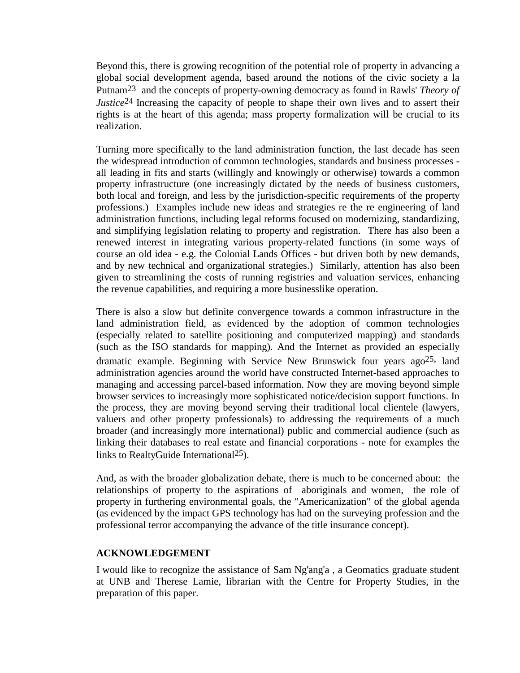Beyond this, there is growing recognition of the potential role of property in advancing a global social development agenda, based around the notions of the civic society a la Putnam23 and the concepts of property-owning democracy as found in Rawls' *Theory of Justice*<sup>24</sup> Increasing the capacity of people to shape their own lives and to assert their rights is at the heart of this agenda; mass property formalization will be crucial to its realization.

Turning more specifically to the land administration function, the last decade has seen the widespread introduction of common technologies, standards and business processes all leading in fits and starts (willingly and knowingly or otherwise) towards a common property infrastructure (one increasingly dictated by the needs of business customers, both local and foreign, and less by the jurisdiction-specific requirements of the property professions.) Examples include new ideas and strategies re the re engineering of land administration functions, including legal reforms focused on modernizing, standardizing, and simplifying legislation relating to property and registration. There has also been a renewed interest in integrating various property-related functions (in some ways of course an old idea - e.g. the Colonial Lands Offices - but driven both by new demands, and by new technical and organizational strategies.) Similarly, attention has also been given to streamlining the costs of running registries and valuation services, enhancing the revenue capabilities, and requiring a more businesslike operation.

There is also a slow but definite convergence towards a common infrastructure in the land administration field, as evidenced by the adoption of common technologies (especially related to satellite positioning and computerized mapping) and standards (such as the ISO standards for mapping). And the Internet as provided an especially dramatic example. Beginning with Service New Brunswick four years  $ago^{25}$ , land administration agencies around the world have constructed Internet-based approaches to managing and accessing parcel-based information. Now they are moving beyond simple browser services to increasingly more sophisticated notice/decision support functions. In the process, they are moving beyond serving their traditional local clientele (lawyers, valuers and other property professionals) to addressing the requirements of a much broader (and increasingly more international) public and commercial audience (such as linking their databases to real estate and financial corporations - note for examples the links to RealtyGuide International25).

And, as with the broader globalization debate, there is much to be concerned about: the relationships of property to the aspirations of aboriginals and women, the role of property in furthering environmental goals, the "Americanization" of the global agenda (as evidenced by the impact GPS technology has had on the surveying profession and the professional terror accompanying the advance of the title insurance concept).

## **ACKNOWLEDGEMENT**

I would like to recognize the assistance of Sam Ng'ang'a , a Geomatics graduate student at UNB and Therese Lamie, librarian with the Centre for Property Studies, in the preparation of this paper.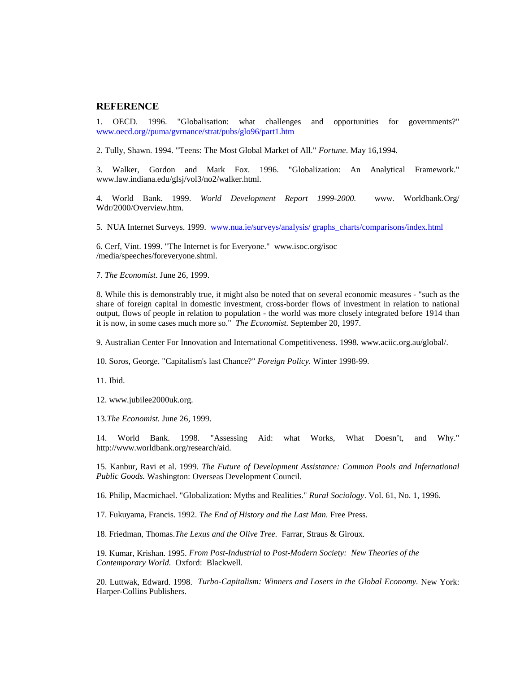#### **REFERENCE**

1. OECD. 1996. "Globalisation: what challenges and opportunities for governments?" www.oecd.org//puma/gvrnance/strat/pubs/glo96/part1.htm

2. Tully, Shawn. 1994. "Teens: The Most Global Market of All." *Fortune*. May 16,1994.

3. Walker, Gordon and Mark Fox. 1996. "Globalization: An Analytical Framework." www.law.indiana.edu/glsj/vol3/no2/walker.html.

4. World Bank. 1999. *World Development Report 1999-2000.* www. Worldbank.Org/ Wdr/2000/Overview.htm.

5. NUA Internet Surveys. 1999. www.nua.ie/surveys/analysis/ graphs\_charts/comparisons/index.html

6. Cerf, Vint. 1999. "The Internet is for Everyone." www.isoc.org/isoc /media/speeches/foreveryone.shtml.

7. *The Economist*. June 26, 1999.

8. While this is demonstrably true, it might also be noted that on several economic measures - "such as the share of foreign capital in domestic investment, cross-border flows of investment in relation to national output, flows of people in relation to population - the world was more closely integrated before 1914 than it is now, in some cases much more so." *The Economist.* September 20, 1997.

9. Australian Center For Innovation and International Competitiveness. 1998. www.aciic.org.au/global/.

10. Soros, George. "Capitalism's last Chance?" *Foreign Policy.* Winter 1998-99.

11. Ibid.

12. www.jubilee2000uk.org.

13.*The Economist.* June 26, 1999.

14. World Bank. 1998. "Assessing Aid: what Works, What Doesn't, and Why." http://www.worldbank.org/research/aid.

15. Kanbur, Ravi et al. 1999. *The Future of Development Assistance: Common Pools and Infernational Public Goods.* Washington: Overseas Development Council.

16. Philip, Macmichael. "Globalization: Myths and Realities." *Rural Sociology*. Vol. 61, No. 1, 1996.

17. Fukuyama, Francis. 1992. *The End of History and the Last Man.* Free Press.

18. Friedman, Thomas.*The Lexus and the Olive Tree.* Farrar, Straus & Giroux.

19. Kumar, Krishan. 1995. *From Post-Industrial to Post-Modern Society: New Theories of the Contemporary World.* Oxford: Blackwell.

20. Luttwak, Edward. 1998. *Turbo-Capitalism: Winners and Losers in the Global Economy.* New York: Harper-Collins Publishers.